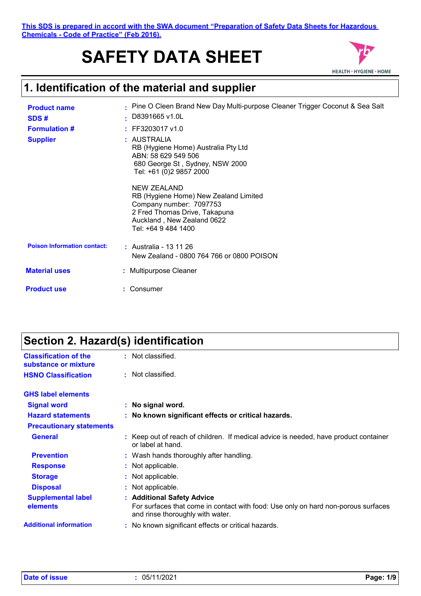**This SDS is prepared in accord with the SWA document "Preparation of Safety Data Sheets for Hazardous Chemicals - Code of Practice" (Feb 2016).**

# **SAFETY DATA SHEET**



### **1. Identification of the material and supplier**

| <b>Product name</b><br>SDS#        | $\cdot$ D8391665 v1.0L             | . Pine O Cleen Brand New Day Multi-purpose Cleaner Trigger Coconut & Sea Salt                                                   |
|------------------------------------|------------------------------------|---------------------------------------------------------------------------------------------------------------------------------|
| <b>Formulation #</b>               | $:$ FF3203017 v1.0                 |                                                                                                                                 |
| <b>Supplier</b>                    | : AUSTRALIA<br>ABN: 58 629 549 506 | RB (Hygiene Home) Australia Pty Ltd<br>680 George St, Sydney, NSW 2000<br>Tel: +61 (0)2 9857 2000                               |
|                                    | NEW ZEALAND<br>Tel: +64 9 484 1400 | RB (Hygiene Home) New Zealand Limited<br>Company number: 7097753<br>2 Fred Thomas Drive, Takapuna<br>Auckland, New Zealand 0622 |
| <b>Poison Information contact:</b> | : Australia - 13 11 26             | New Zealand - 0800 764 766 or 0800 POISON                                                                                       |
| <b>Material uses</b>               | : Multipurpose Cleaner             |                                                                                                                                 |
| <b>Product use</b>                 | : Consumer                         |                                                                                                                                 |

## **Section 2. Hazard(s) identification**

| <b>Classification of the</b><br>substance or mixture | Not classified.<br>÷.                                                                                                                               |
|------------------------------------------------------|-----------------------------------------------------------------------------------------------------------------------------------------------------|
| <b>HSNO Classification</b>                           | Not classified.                                                                                                                                     |
| <b>GHS label elements</b>                            |                                                                                                                                                     |
| <b>Signal word</b>                                   | : No signal word.                                                                                                                                   |
| <b>Hazard statements</b>                             | : No known significant effects or critical hazards.                                                                                                 |
| <b>Precautionary statements</b>                      |                                                                                                                                                     |
| <b>General</b>                                       | : Keep out of reach of children. If medical advice is needed, have product container<br>or label at hand.                                           |
| <b>Prevention</b>                                    | : Wash hands thoroughly after handling.                                                                                                             |
| <b>Response</b>                                      | : Not applicable.                                                                                                                                   |
| <b>Storage</b>                                       | : Not applicable.                                                                                                                                   |
| <b>Disposal</b>                                      | : Not applicable.                                                                                                                                   |
| <b>Supplemental label</b><br>elements                | : Additional Safety Advice<br>For surfaces that come in contact with food: Use only on hard non-porous surfaces<br>and rinse thoroughly with water. |
| <b>Additional information</b>                        | : No known significant effects or critical hazards.                                                                                                 |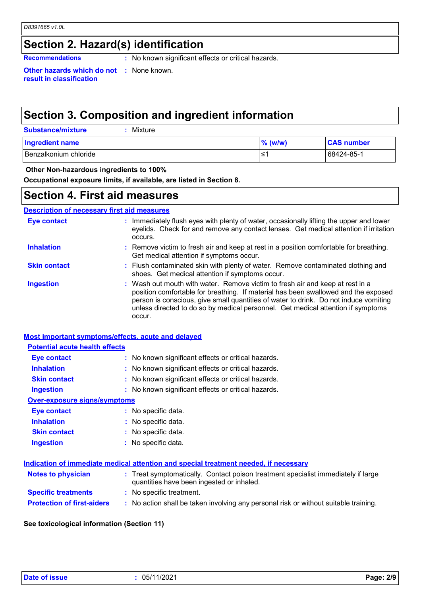### **Section 2. Hazard(s) identification**

**Recommendations :** No known significant effects or critical hazards.

**Other hazards which do not :** None known. **result in classification**

### **Section 3. Composition and ingredient information**

| <b>Substance/mixture</b> | : Mixture |
|--------------------------|-----------|
|                          |           |

| <b>Ingredient name</b> | $%$ (w/w) | <b>CAS number</b> |
|------------------------|-----------|-------------------|
| Benzalkonium chloride  | .≤'       | 68424-85-1        |

#### **Other Non-hazardous ingredients to 100%**

**Occupational exposure limits, if available, are listed in Section 8.**

### **Section 4. First aid measures**

#### **Description of necessary first aid measures**

| Eye contact         | : Immediately flush eyes with plenty of water, occasionally lifting the upper and lower<br>eyelids. Check for and remove any contact lenses. Get medical attention if irritation<br>occurs.                                                                                                                                                               |
|---------------------|-----------------------------------------------------------------------------------------------------------------------------------------------------------------------------------------------------------------------------------------------------------------------------------------------------------------------------------------------------------|
| <b>Inhalation</b>   | : Remove victim to fresh air and keep at rest in a position comfortable for breathing.<br>Get medical attention if symptoms occur.                                                                                                                                                                                                                        |
| <b>Skin contact</b> | : Flush contaminated skin with plenty of water. Remove contaminated clothing and<br>shoes. Get medical attention if symptoms occur.                                                                                                                                                                                                                       |
| <b>Ingestion</b>    | : Wash out mouth with water. Remove victim to fresh air and keep at rest in a<br>position comfortable for breathing. If material has been swallowed and the exposed<br>person is conscious, give small quantities of water to drink. Do not induce vomiting<br>unless directed to do so by medical personnel. Get medical attention if symptoms<br>OCCUL. |

#### **Most important symptoms/effects, acute and delayed**

#### **Potential acute health effects**

| Eye contact                  | : No known significant effects or critical hazards. |
|------------------------------|-----------------------------------------------------|
| <b>Inhalation</b>            | : No known significant effects or critical hazards. |
| <b>Skin contact</b>          | : No known significant effects or critical hazards. |
| <b>Ingestion</b>             | : No known significant effects or critical hazards. |
| Over-exposure signs/symptoms |                                                     |
| Eye contact                  | : No specific data.                                 |
| <b>Inhalation</b>            | : No specific data.                                 |
| <b>Skin contact</b>          | : No specific data.                                 |
| <b>Ingestion</b>             | $:$ No specific data.                               |

#### **Indication of immediate medical attention and special treatment needed, if necessary**

| <b>Notes to physician</b>         | : Treat symptomatically. Contact poison treatment specialist immediately if large<br>quantities have been ingested or inhaled. |
|-----------------------------------|--------------------------------------------------------------------------------------------------------------------------------|
| <b>Specific treatments</b>        | : No specific treatment.                                                                                                       |
| <b>Protection of first-aiders</b> | : No action shall be taken involving any personal risk or without suitable training.                                           |

#### **See toxicological information (Section 11)**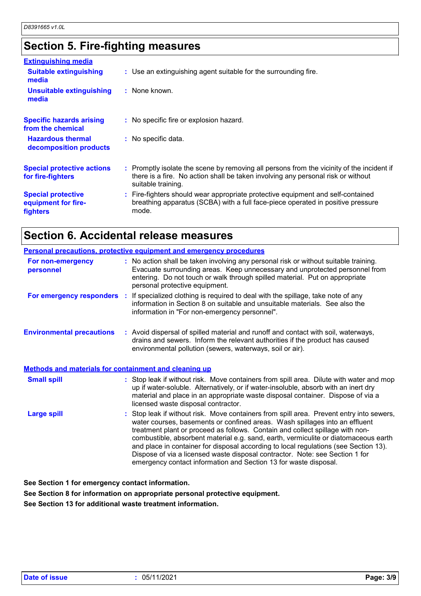## **Section 5. Fire-fighting measures**

| <b>Extinguishing media</b>                                   |                                                                                                                                                                                                     |
|--------------------------------------------------------------|-----------------------------------------------------------------------------------------------------------------------------------------------------------------------------------------------------|
| <b>Suitable extinguishing</b><br>media                       | : Use an extinguishing agent suitable for the surrounding fire.                                                                                                                                     |
| <b>Unsuitable extinguishing</b><br>media                     | : None known.                                                                                                                                                                                       |
| <b>Specific hazards arising</b><br>from the chemical         | : No specific fire or explosion hazard.                                                                                                                                                             |
| <b>Hazardous thermal</b><br>decomposition products           | : No specific data.                                                                                                                                                                                 |
| <b>Special protective actions</b><br>for fire-fighters       | : Promptly isolate the scene by removing all persons from the vicinity of the incident if<br>there is a fire. No action shall be taken involving any personal risk or without<br>suitable training. |
| <b>Special protective</b><br>equipment for fire-<br>fighters | : Fire-fighters should wear appropriate protective equipment and self-contained<br>breathing apparatus (SCBA) with a full face-piece operated in positive pressure<br>mode.                         |

### **Section 6. Accidental release measures**

|                                                              | Personal precautions, protective equipment and emergency procedures                                                                                                                                                                                                                                                                                                                                                                                                                                                                                                                         |
|--------------------------------------------------------------|---------------------------------------------------------------------------------------------------------------------------------------------------------------------------------------------------------------------------------------------------------------------------------------------------------------------------------------------------------------------------------------------------------------------------------------------------------------------------------------------------------------------------------------------------------------------------------------------|
| For non-emergency<br>personnel                               | : No action shall be taken involving any personal risk or without suitable training.<br>Evacuate surrounding areas. Keep unnecessary and unprotected personnel from<br>entering. Do not touch or walk through spilled material. Put on appropriate<br>personal protective equipment.                                                                                                                                                                                                                                                                                                        |
|                                                              | For emergency responders : If specialized clothing is required to deal with the spillage, take note of any<br>information in Section 8 on suitable and unsuitable materials. See also the<br>information in "For non-emergency personnel".                                                                                                                                                                                                                                                                                                                                                  |
| <b>Environmental precautions</b>                             | : Avoid dispersal of spilled material and runoff and contact with soil, waterways,<br>drains and sewers. Inform the relevant authorities if the product has caused<br>environmental pollution (sewers, waterways, soil or air).                                                                                                                                                                                                                                                                                                                                                             |
| <b>Methods and materials for containment and cleaning up</b> |                                                                                                                                                                                                                                                                                                                                                                                                                                                                                                                                                                                             |
| <b>Small spill</b>                                           | : Stop leak if without risk. Move containers from spill area. Dilute with water and mop<br>up if water-soluble. Alternatively, or if water-insoluble, absorb with an inert dry<br>material and place in an appropriate waste disposal container. Dispose of via a<br>licensed waste disposal contractor.                                                                                                                                                                                                                                                                                    |
| <b>Large spill</b>                                           | : Stop leak if without risk. Move containers from spill area. Prevent entry into sewers,<br>water courses, basements or confined areas. Wash spillages into an effluent<br>treatment plant or proceed as follows. Contain and collect spillage with non-<br>combustible, absorbent material e.g. sand, earth, vermiculite or diatomaceous earth<br>and place in container for disposal according to local regulations (see Section 13).<br>Dispose of via a licensed waste disposal contractor. Note: see Section 1 for<br>emergency contact information and Section 13 for waste disposal. |

**See Section 1 for emergency contact information.**

**See Section 8 for information on appropriate personal protective equipment.**

**See Section 13 for additional waste treatment information.**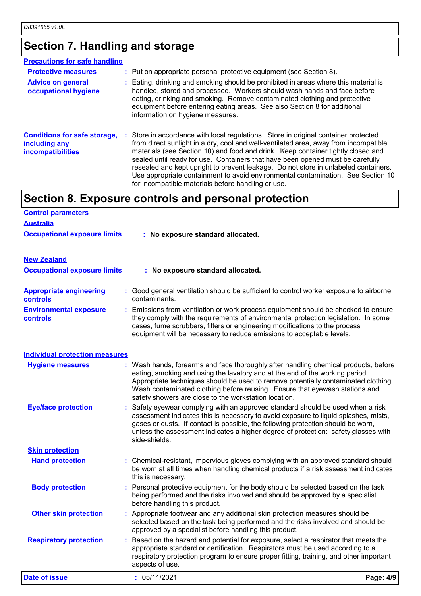## **Section 7. Handling and storage**

| <b>Precautions for safe handling</b>                                             |                                                                                                                                                                                                                                                                                                                                                                                                                                                                                                                                                                                    |
|----------------------------------------------------------------------------------|------------------------------------------------------------------------------------------------------------------------------------------------------------------------------------------------------------------------------------------------------------------------------------------------------------------------------------------------------------------------------------------------------------------------------------------------------------------------------------------------------------------------------------------------------------------------------------|
| <b>Protective measures</b>                                                       | : Put on appropriate personal protective equipment (see Section 8).                                                                                                                                                                                                                                                                                                                                                                                                                                                                                                                |
| <b>Advice on general</b><br>occupational hygiene                                 | : Eating, drinking and smoking should be prohibited in areas where this material is<br>handled, stored and processed. Workers should wash hands and face before<br>eating, drinking and smoking. Remove contaminated clothing and protective<br>equipment before entering eating areas. See also Section 8 for additional<br>information on hygiene measures.                                                                                                                                                                                                                      |
| <b>Conditions for safe storage,</b><br>including any<br><b>incompatibilities</b> | : Store in accordance with local regulations. Store in original container protected<br>from direct sunlight in a dry, cool and well-ventilated area, away from incompatible<br>materials (see Section 10) and food and drink. Keep container tightly closed and<br>sealed until ready for use. Containers that have been opened must be carefully<br>resealed and kept upright to prevent leakage. Do not store in unlabeled containers.<br>Use appropriate containment to avoid environmental contamination. See Section 10<br>for incompatible materials before handling or use. |

### **Section 8. Exposure controls and personal protection**

| <b>Control parameters</b>                         |                                                                                                                                                                                                                                                                                                                                 |
|---------------------------------------------------|---------------------------------------------------------------------------------------------------------------------------------------------------------------------------------------------------------------------------------------------------------------------------------------------------------------------------------|
| <b>Australia</b>                                  |                                                                                                                                                                                                                                                                                                                                 |
| <b>Occupational exposure limits</b>               | : No exposure standard allocated.                                                                                                                                                                                                                                                                                               |
| <b>New Zealand</b>                                |                                                                                                                                                                                                                                                                                                                                 |
| <b>Occupational exposure limits</b>               | : No exposure standard allocated.                                                                                                                                                                                                                                                                                               |
| <b>Appropriate engineering</b><br><b>controls</b> | : Good general ventilation should be sufficient to control worker exposure to airborne<br>contaminants.                                                                                                                                                                                                                         |
| <b>Environmental exposure</b><br><b>controls</b>  | : Emissions from ventilation or work process equipment should be checked to ensure<br>they comply with the requirements of environmental protection legislation. In some<br>cases, fume scrubbers, filters or engineering modifications to the process<br>equipment will be necessary to reduce emissions to acceptable levels. |
| <b>Individual protection measures</b>             |                                                                                                                                                                                                                                                                                                                                 |
| <b>Hygiene measures</b>                           | : Wash hands, forearms and face thoroughly after handling chemical products, before                                                                                                                                                                                                                                             |

| <b>Date of issue</b>                             | : 05/11/2021<br>Page: 4/9                                                                                                                                                                                                                                                                                                                                                                       |
|--------------------------------------------------|-------------------------------------------------------------------------------------------------------------------------------------------------------------------------------------------------------------------------------------------------------------------------------------------------------------------------------------------------------------------------------------------------|
| <b>Respiratory protection</b>                    | : Based on the hazard and potential for exposure, select a respirator that meets the<br>appropriate standard or certification. Respirators must be used according to a<br>respiratory protection program to ensure proper fitting, training, and other important<br>aspects of use.                                                                                                             |
| <b>Other skin protection</b>                     | : Appropriate footwear and any additional skin protection measures should be<br>selected based on the task being performed and the risks involved and should be<br>approved by a specialist before handling this product.                                                                                                                                                                       |
| <b>Body protection</b>                           | : Personal protective equipment for the body should be selected based on the task<br>being performed and the risks involved and should be approved by a specialist<br>before handling this product.                                                                                                                                                                                             |
| <b>Skin protection</b><br><b>Hand protection</b> | : Chemical-resistant, impervious gloves complying with an approved standard should<br>be worn at all times when handling chemical products if a risk assessment indicates<br>this is necessary.                                                                                                                                                                                                 |
|                                                  | side-shields.                                                                                                                                                                                                                                                                                                                                                                                   |
| <b>Eye/face protection</b>                       | : Safety eyewear complying with an approved standard should be used when a risk<br>assessment indicates this is necessary to avoid exposure to liquid splashes, mists,<br>gases or dusts. If contact is possible, the following protection should be worn,<br>unless the assessment indicates a higher degree of protection: safety glasses with                                                |
|                                                  | 2011 Hando, Toroanno and 1800 thoroaghly altor handling onomical producto, boloro<br>eating, smoking and using the lavatory and at the end of the working period.<br>Appropriate techniques should be used to remove potentially contaminated clothing.<br>Wash contaminated clothing before reusing. Ensure that eyewash stations and<br>safety showers are close to the workstation location. |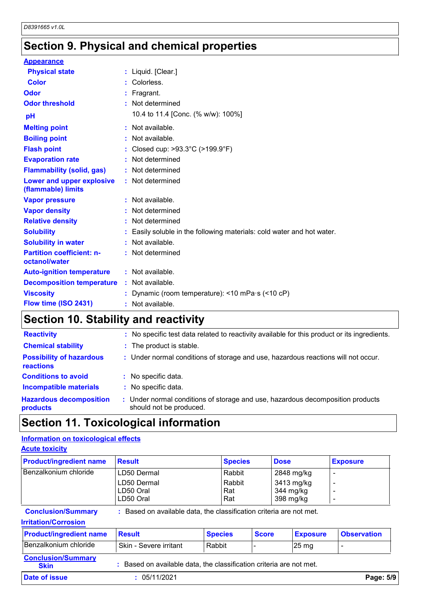### **Section 9. Physical and chemical properties**

| <b>Appearance</b>                                 |    |                                                                      |
|---------------------------------------------------|----|----------------------------------------------------------------------|
| <b>Physical state</b>                             |    | : Liquid. [Clear.]                                                   |
| <b>Color</b>                                      |    | Colorless.                                                           |
| Odor                                              |    | Fragrant.                                                            |
| <b>Odor threshold</b>                             |    | Not determined                                                       |
| pH                                                |    | 10.4 to 11.4 [Conc. (% w/w): 100%]                                   |
| <b>Melting point</b>                              |    | : Not available.                                                     |
| <b>Boiling point</b>                              |    | Not available.                                                       |
| <b>Flash point</b>                                |    | Closed cup: >93.3°C (>199.9°F)                                       |
| <b>Evaporation rate</b>                           |    | Not determined                                                       |
| <b>Flammability (solid, gas)</b>                  |    | Not determined                                                       |
| Lower and upper explosive<br>(flammable) limits   |    | : Not determined                                                     |
| <b>Vapor pressure</b>                             |    | : Not available.                                                     |
| <b>Vapor density</b>                              |    | Not determined                                                       |
| <b>Relative density</b>                           |    | Not determined                                                       |
| <b>Solubility</b>                                 |    | Easily soluble in the following materials: cold water and hot water. |
| <b>Solubility in water</b>                        |    | Not available.                                                       |
| <b>Partition coefficient: n-</b><br>octanol/water |    | : Not determined                                                     |
| <b>Auto-ignition temperature</b>                  |    | : Not available.                                                     |
| <b>Decomposition temperature</b>                  | ÷. | Not available.                                                       |
| <b>Viscosity</b>                                  |    | Dynamic (room temperature): $\leq$ 10 mPa·s ( $\leq$ 10 cP)          |
| Flow time (ISO 2431)                              |    | Not available.                                                       |

### **Section 10. Stability and reactivity**

| : No specific test data related to reactivity available for this product or its ingredients.              |
|-----------------------------------------------------------------------------------------------------------|
| : The product is stable.                                                                                  |
| : Under normal conditions of storage and use, hazardous reactions will not occur.                         |
| : No specific data.                                                                                       |
| : No specific data.                                                                                       |
| : Under normal conditions of storage and use, hazardous decomposition products<br>should not be produced. |
| <b>Hazardous decomposition</b>                                                                            |

### **Information on toxicological effects**

| Information on toxicological effects                     |                                                                     |                |                      |              |             |                                      |                          |
|----------------------------------------------------------|---------------------------------------------------------------------|----------------|----------------------|--------------|-------------|--------------------------------------|--------------------------|
| <b>Acute toxicity</b>                                    |                                                                     |                |                      |              |             |                                      |                          |
| <b>Product/ingredient name</b>                           | <b>Result</b>                                                       |                | <b>Species</b>       |              | <b>Dose</b> |                                      | <b>Exposure</b>          |
| Benzalkonium chloride                                    | LD50 Dermal                                                         |                | Rabbit               |              |             | 2848 mg/kg                           |                          |
|                                                          | LD50 Dermal<br>LD50 Oral<br>LD50 Oral                               |                | Rabbit<br>Rat<br>Rat |              |             | 3413 mg/kg<br>344 mg/kg<br>398 mg/kg | $\overline{\phantom{a}}$ |
| <b>Conclusion/Summary</b><br><b>Irritation/Corrosion</b> | : Based on available data, the classification criteria are not met. |                |                      |              |             |                                      |                          |
| <b>Product/ingredient name</b>                           | <b>Result</b>                                                       | <b>Species</b> |                      | <b>Score</b> |             | <b>Exposure</b>                      | <b>Observation</b>       |
| Benzalkonium chloride                                    | Skin - Severe irritant                                              | Rabbit         |                      |              |             | $25 \,\mathrm{mg}$                   | $\blacksquare$           |
| <b>Conclusion/Summary</b><br><b>Skin</b>                 | : Based on available data, the classification criteria are not met. |                |                      |              |             |                                      |                          |
| Date of issue                                            | 05/11/2021                                                          |                |                      |              |             |                                      | Page: 5/9                |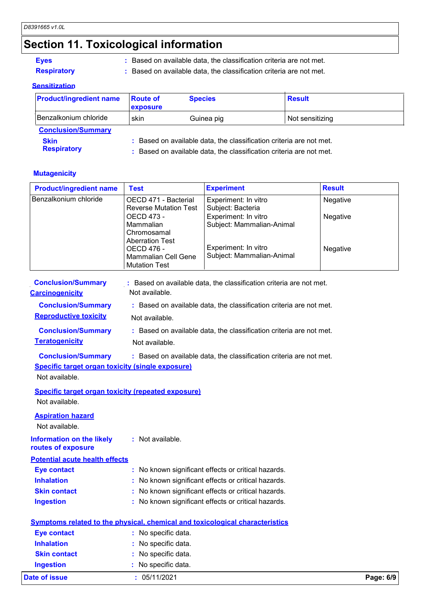### **Section 11. Toxicological information**

#### **Eyes**

#### **Sensitization**

| <b>Eyes</b><br><b>Respiratory</b> |                             | Based on available data, the classification criteria are not met.<br>: Based on available data, the classification criteria are not met.   |                 |  |  |  |
|-----------------------------------|-----------------------------|--------------------------------------------------------------------------------------------------------------------------------------------|-----------------|--|--|--|
| <u>Sensitization</u>              |                             |                                                                                                                                            |                 |  |  |  |
| <b>Product/ingredient name</b>    | <b>Route of</b><br>exposure | <b>Species</b>                                                                                                                             | <b>Result</b>   |  |  |  |
| Benzalkonium chloride             | skin                        | Guinea pig                                                                                                                                 | Not sensitizing |  |  |  |
| <b>Conclusion/Summary</b>         |                             |                                                                                                                                            |                 |  |  |  |
| <b>Skin</b><br><b>Respiratory</b> |                             | : Based on available data, the classification criteria are not met.<br>: Based on available data, the classification criteria are not met. |                 |  |  |  |

#### **Mutagenicity**

| <b>Respiratory</b>                                                               |                                                                                     | : Based on available data, the classification criteria are not met.                                                                        |               |
|----------------------------------------------------------------------------------|-------------------------------------------------------------------------------------|--------------------------------------------------------------------------------------------------------------------------------------------|---------------|
| <b>Mutagenicity</b>                                                              |                                                                                     |                                                                                                                                            |               |
| <b>Product/ingredient name</b>                                                   | <b>Test</b>                                                                         | <b>Experiment</b>                                                                                                                          | <b>Result</b> |
| Benzalkonium chloride                                                            | OECD 471 - Bacterial<br><b>Reverse Mutation Test</b>                                | Experiment: In vitro<br>Subject: Bacteria                                                                                                  | Negative      |
|                                                                                  | OECD 473 -<br>Mammalian<br>Chromosamal                                              | Experiment: In vitro<br>Subject: Mammalian-Animal                                                                                          | Negative      |
|                                                                                  | <b>Aberration Test</b><br>OECD 476 -<br>Mammalian Cell Gene<br><b>Mutation Test</b> | Experiment: In vitro<br>Subject: Mammalian-Animal                                                                                          | Negative      |
| <b>Conclusion/Summary</b><br><b>Carcinogenicity</b><br><b>Conclusion/Summary</b> | Not available.                                                                      | : Based on available data, the classification criteria are not met.<br>: Based on available data, the classification criteria are not met. |               |
| <b>Reproductive toxicity</b>                                                     | Not available.                                                                      |                                                                                                                                            |               |

**Conclusion/Summary Teratogenicity** Not available. **:** Based on available data, the classification criteria are not met.

**Conclusion/Summary** : Based on available data, the classification criteria are not met.

#### **Specific target organ toxicity (single exposure)**

Not available.

#### **Specific target organ toxicity (repeated exposure)** Not available.

**Aspiration hazard**

Not available.

#### **Information on the likely :** Not available.

**routes of exposure**

#### **Potential acute health effects**

| <b>Eye contact</b>  | : No known significant effects or critical hazards. |
|---------------------|-----------------------------------------------------|
| <b>Inhalation</b>   | : No known significant effects or critical hazards. |
| <b>Skin contact</b> | : No known significant effects or critical hazards. |
| <b>Ingestion</b>    | : No known significant effects or critical hazards. |

|                     | Symptoms related to the physical, chemical and toxicological characteristics |           |
|---------------------|------------------------------------------------------------------------------|-----------|
| <b>Eye contact</b>  | : No specific data.                                                          |           |
| <b>Inhalation</b>   | : No specific data.                                                          |           |
| <b>Skin contact</b> | : No specific data.                                                          |           |
| <b>Ingestion</b>    | : No specific data.                                                          |           |
| Date of issue       | : 05/11/2021                                                                 | Page: 6/9 |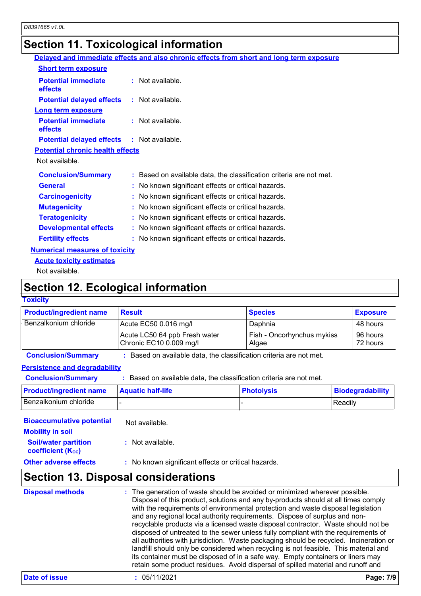### **Section 11. Toxicological information**

|                                                   | Delayed and immediate effects and also chronic effects from short and long term exposure |
|---------------------------------------------------|------------------------------------------------------------------------------------------|
| <b>Short term exposure</b>                        |                                                                                          |
| <b>Potential immediate</b><br>effects             | : Not available.                                                                         |
| <b>Potential delayed effects : Not available.</b> |                                                                                          |
| <b>Long term exposure</b>                         |                                                                                          |
| <b>Potential immediate</b><br>effects             | : Not available.                                                                         |
| <b>Potential delayed effects : Not available.</b> |                                                                                          |
| <b>Potential chronic health effects</b>           |                                                                                          |
| Not available.                                    |                                                                                          |
| <b>Conclusion/Summary</b>                         | : Based on available data, the classification criteria are not met.                      |
| <b>General</b>                                    | : No known significant effects or critical hazards.                                      |
| <b>Carcinogenicity</b>                            | : No known significant effects or critical hazards.                                      |
| <b>Mutagenicity</b>                               | : No known significant effects or critical hazards.                                      |
| <b>Teratogenicity</b>                             | : No known significant effects or critical hazards.                                      |
| <b>Developmental effects</b>                      | : No known significant effects or critical hazards.                                      |
| <b>Fertility effects</b>                          | : No known significant effects or critical hazards.                                      |
| <b>Numerical measures of toxicity</b>             |                                                                                          |
| <b>Acute toxicity estimates</b>                   |                                                                                          |

Not available.

### **Section 12. Ecological information**

### **Toxicity**

| <b>Product/ingredient name</b>       | <b>Result</b>                                                       | <b>Species</b>                      | <b>Exposure</b>         |
|--------------------------------------|---------------------------------------------------------------------|-------------------------------------|-------------------------|
| Benzalkonium chloride                | Acute EC50 0.016 mg/l                                               | Daphnia                             | 48 hours                |
|                                      | Acute LC50 64 ppb Fresh water<br>Chronic EC10 0.009 mg/l            | Fish - Oncorhynchus mykiss<br>Algae | 96 hours<br>72 hours    |
| <b>Conclusion/Summary</b>            | : Based on available data, the classification criteria are not met. |                                     |                         |
| <b>Persistence and degradability</b> |                                                                     |                                     |                         |
| <b>Conclusion/Summary</b>            | : Based on available data, the classification criteria are not met. |                                     |                         |
| Droduct/ingradiant nama              | Aguatic half-life                                                   | <b>Dhotolycic</b>                   | <b>Riodogradability</b> |

### **Persistence and degradability**

| <b>Conclusion/Summary</b>            | : Based on available data, the classification criteria are not met. |                   |                         |
|--------------------------------------|---------------------------------------------------------------------|-------------------|-------------------------|
| <b>Persistence and degradability</b> |                                                                     |                   |                         |
| <b>Conclusion/Summary</b>            | : Based on available data, the classification criteria are not met. |                   |                         |
| <b>Product/ingredient name</b>       | <b>Aquatic half-life</b>                                            | <b>Photolysis</b> | <b>Biodegradability</b> |
| Benzalkonium chloride                |                                                                     |                   | Readily                 |

| <b>Bioaccumulative potential</b><br><b>Mobility in soil</b> | Not available.                                      |
|-------------------------------------------------------------|-----------------------------------------------------|
| <b>Soil/water partition</b><br><b>coefficient (Koc)</b>     | : Not available.                                    |
| <b>Other adverse effects</b>                                | : No known significant effects or critical hazards. |

### **Section 13. Disposal considerations**

| <b>Disposal methods</b> | : The generation of waste should be avoided or minimized wherever possible.<br>Disposal of this product, solutions and any by-products should at all times comply<br>with the requirements of environmental protection and waste disposal legislation<br>and any regional local authority requirements. Dispose of surplus and non-<br>recyclable products via a licensed waste disposal contractor. Waste should not be<br>disposed of untreated to the sewer unless fully compliant with the requirements of<br>all authorities with jurisdiction. Waste packaging should be recycled. Incineration or<br>landfill should only be considered when recycling is not feasible. This material and<br>its container must be disposed of in a safe way. Empty containers or liners may<br>retain some product residues. Avoid dispersal of spilled material and runoff and |
|-------------------------|-------------------------------------------------------------------------------------------------------------------------------------------------------------------------------------------------------------------------------------------------------------------------------------------------------------------------------------------------------------------------------------------------------------------------------------------------------------------------------------------------------------------------------------------------------------------------------------------------------------------------------------------------------------------------------------------------------------------------------------------------------------------------------------------------------------------------------------------------------------------------|
|-------------------------|-------------------------------------------------------------------------------------------------------------------------------------------------------------------------------------------------------------------------------------------------------------------------------------------------------------------------------------------------------------------------------------------------------------------------------------------------------------------------------------------------------------------------------------------------------------------------------------------------------------------------------------------------------------------------------------------------------------------------------------------------------------------------------------------------------------------------------------------------------------------------|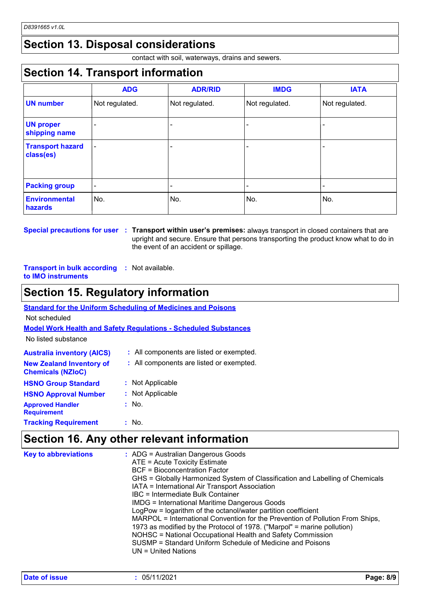### **Section 13. Disposal considerations**

contact with soil, waterways, drains and sewers.

### **Section 14. Transport information**

|                                      | <b>ADG</b>               | <b>ADR/RID</b> | <b>IMDG</b>    | <b>IATA</b>    |  |
|--------------------------------------|--------------------------|----------------|----------------|----------------|--|
| <b>UN number</b>                     | Not regulated.           | Not regulated. | Not regulated. | Not regulated. |  |
| <b>UN proper</b><br>shipping name    |                          |                |                |                |  |
| <b>Transport hazard</b><br>class(es) | $\overline{a}$           |                |                |                |  |
| <b>Packing group</b>                 | $\overline{\phantom{0}}$ |                |                |                |  |
| <b>Environmental</b><br>hazards      | No.                      | No.            | No.            | No.            |  |

**Special precautions for user Transport within user's premises:** always transport in closed containers that are **:** upright and secure. Ensure that persons transporting the product know what to do in the event of an accident or spillage.

#### **Transport in bulk according :** Not available. **to IMO instruments**

### **Section 15. Regulatory information**

| <b>Standard for the Uniform Scheduling of Medicines and Poisons</b>    |                                          |  |  |  |  |  |
|------------------------------------------------------------------------|------------------------------------------|--|--|--|--|--|
| Not scheduled                                                          |                                          |  |  |  |  |  |
| <b>Model Work Health and Safety Requiations - Scheduled Substances</b> |                                          |  |  |  |  |  |
| No listed substance                                                    |                                          |  |  |  |  |  |
| <b>Australia inventory (AICS)</b>                                      | All components are listed or exempted.   |  |  |  |  |  |
| <b>New Zealand Inventory of</b><br><b>Chemicals (NZIoC)</b>            | : All components are listed or exempted. |  |  |  |  |  |
| <b>HSNO Group Standard</b>                                             | : Not Applicable                         |  |  |  |  |  |
| <b>HSNO Approval Number</b>                                            | : Not Applicable                         |  |  |  |  |  |
| <b>Approved Handler</b><br><b>Requirement</b>                          | : No.                                    |  |  |  |  |  |
| <b>Tracking Requirement</b>                                            | - No.                                    |  |  |  |  |  |

### **Section 16. Any other relevant information**

| <b>Key to abbreviations</b> | $\therefore$ ADG = Australian Dangerous Goods<br>ATE = Acute Toxicity Estimate<br><b>BCF</b> = Bioconcentration Factor<br>GHS = Globally Harmonized System of Classification and Labelling of Chemicals<br>IATA = International Air Transport Association<br>IBC = Intermediate Bulk Container<br><b>IMDG = International Maritime Dangerous Goods</b><br>LogPow = logarithm of the octanol/water partition coefficient<br>MARPOL = International Convention for the Prevention of Pollution From Ships,<br>1973 as modified by the Protocol of 1978. ("Marpol" = marine pollution)<br>NOHSC = National Occupational Health and Safety Commission<br>SUSMP = Standard Uniform Schedule of Medicine and Poisons<br>UN = United Nations |
|-----------------------------|---------------------------------------------------------------------------------------------------------------------------------------------------------------------------------------------------------------------------------------------------------------------------------------------------------------------------------------------------------------------------------------------------------------------------------------------------------------------------------------------------------------------------------------------------------------------------------------------------------------------------------------------------------------------------------------------------------------------------------------|
|-----------------------------|---------------------------------------------------------------------------------------------------------------------------------------------------------------------------------------------------------------------------------------------------------------------------------------------------------------------------------------------------------------------------------------------------------------------------------------------------------------------------------------------------------------------------------------------------------------------------------------------------------------------------------------------------------------------------------------------------------------------------------------|